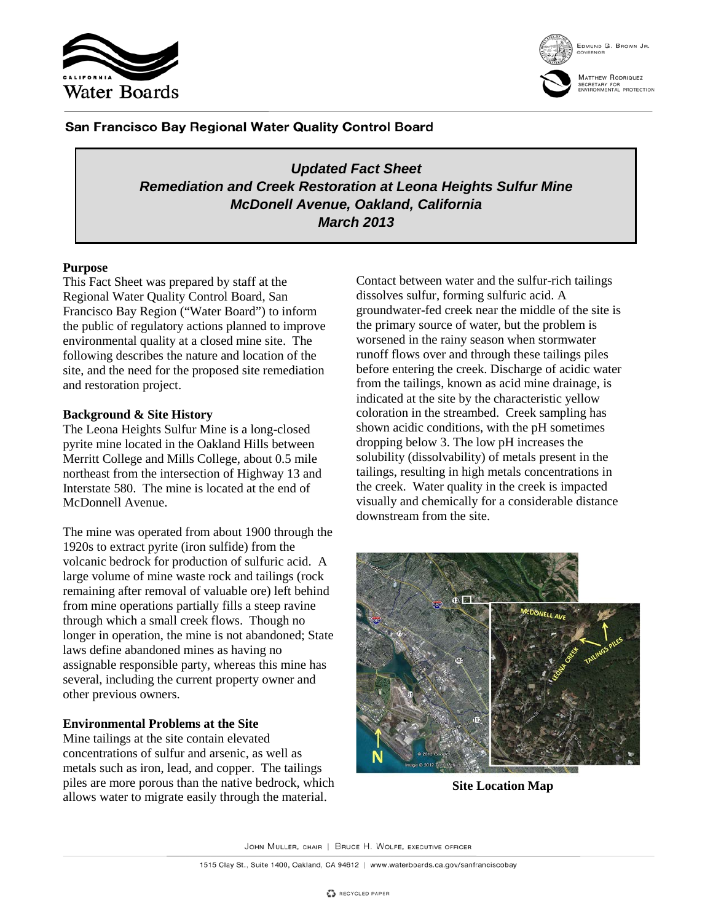



San Francisco Bay Regional Water Quality Control Board

*Updated Fact Sheet Remediation and Creek Restoration at Leona Heights Sulfur Mine McDonell Avenue, Oakland, California March 2013*

# **Purpose**

This Fact Sheet was prepared by staff at the Regional Water Quality Control Board, San Francisco Bay Region ("Water Board") to inform the public of regulatory actions planned to improve environmental quality at a closed mine site. The following describes the nature and location of the site, and the need for the proposed site remediation and restoration project.

# **Background & Site History**

The Leona Heights Sulfur Mine is a long-closed pyrite mine located in the Oakland Hills between Merritt College and Mills College, about 0.5 mile northeast from the intersection of Highway 13 and Interstate 580. The mine is located at the end of McDonnell Avenue.

The mine was operated from about 1900 through the 1920s to extract pyrite (iron sulfide) from the volcanic bedrock for production of sulfuric acid. A large volume of mine waste rock and tailings (rock remaining after removal of valuable ore) left behind from mine operations partially fills a steep ravine through which a small creek flows. Though no longer in operation, the mine is not abandoned; State laws define abandoned mines as having no assignable responsible party, whereas this mine has several, including the current property owner and other previous owners.

# **Environmental Problems at the Site**

Mine tailings at the site contain elevated concentrations of sulfur and arsenic, as well as metals such as iron, lead, and copper. The tailings piles are more porous than the native bedrock, which allows water to migrate easily through the material.

Contact between water and the sulfur-rich tailings dissolves sulfur, forming sulfuric acid. A groundwater-fed creek near the middle of the site is the primary source of water, but the problem is worsened in the rainy season when stormwater runoff flows over and through these tailings piles before entering the creek. Discharge of acidic water from the tailings, known as acid mine drainage, is indicated at the site by the characteristic yellow coloration in the streambed. Creek sampling has shown acidic conditions, with the pH sometimes dropping below 3. The low pH increases the solubility (dissolvability) of metals present in the tailings, resulting in high metals concentrations in the creek. Water quality in the creek is impacted visually and chemically for a considerable distance downstream from the site.



**Site Location Map**

JOHN MULLER, CHAIR | BRUCE H. WOLFE, EXECUTIVE OFFICER